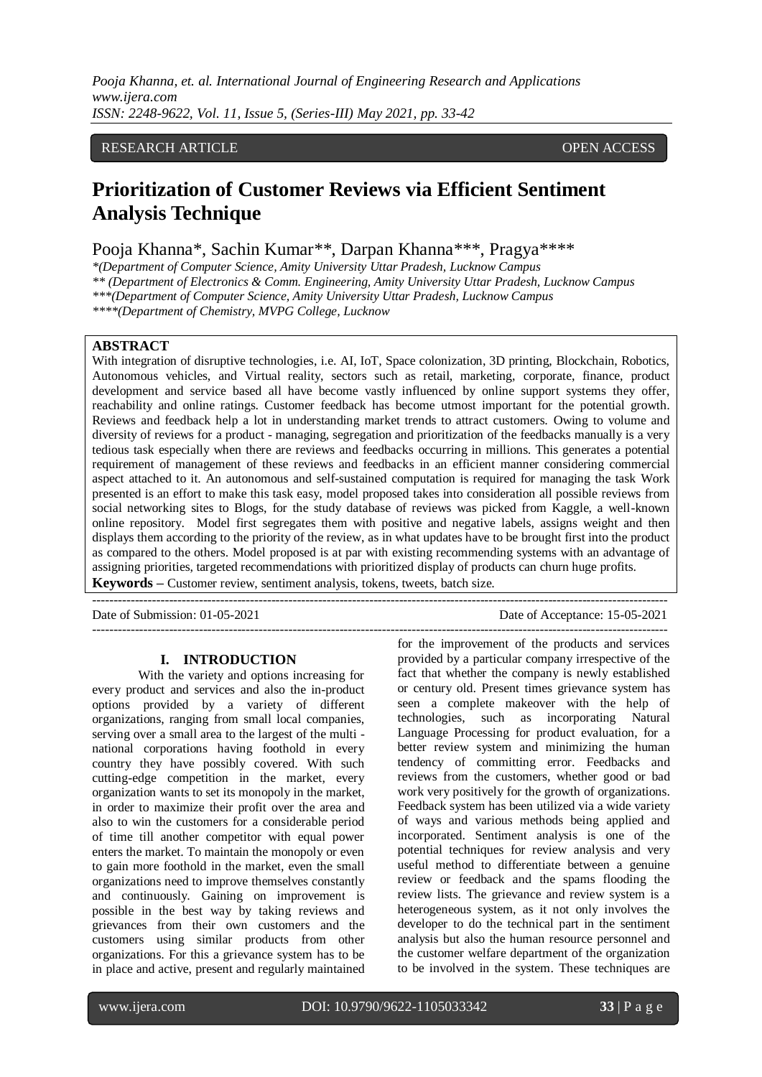# RESEARCH ARTICLE OPEN ACCESS

# **Prioritization of Customer Reviews via Efficient Sentiment Analysis Technique**

Pooja Khanna\*, Sachin Kumar\*\*, Darpan Khanna\*\*\*, Pragya\*\*\*\*

*\*(Department of Computer Science, Amity University Uttar Pradesh, Lucknow Campus*

*\*\* (Department of Electronics & Comm. Engineering, Amity University Uttar Pradesh, Lucknow Campus*

*\*\*\*(Department of Computer Science, Amity University Uttar Pradesh, Lucknow Campus*

*\*\*\*\*(Department of Chemistry, MVPG College, Lucknow* 

# **ABSTRACT**

With integration of disruptive technologies, i.e. AI, IoT, Space colonization, 3D printing, Blockchain, Robotics, Autonomous vehicles, and Virtual reality, sectors such as retail, marketing, corporate, finance, product development and service based all have become vastly influenced by online support systems they offer, reachability and online ratings. Customer feedback has become utmost important for the potential growth. Reviews and feedback help a lot in understanding market trends to attract customers. Owing to volume and diversity of reviews for a product - managing, segregation and prioritization of the feedbacks manually is a very tedious task especially when there are reviews and feedbacks occurring in millions. This generates a potential requirement of management of these reviews and feedbacks in an efficient manner considering commercial aspect attached to it. An autonomous and self-sustained computation is required for managing the task Work presented is an effort to make this task easy, model proposed takes into consideration all possible reviews from social networking sites to Blogs, for the study database of reviews was picked from Kaggle, a well-known online repository. Model first segregates them with positive and negative labels, assigns weight and then displays them according to the priority of the review, as in what updates have to be brought first into the product as compared to the others. Model proposed is at par with existing recommending systems with an advantage of assigning priorities, targeted recommendations with prioritized display of products can churn huge profits. **Keywords –** Customer review, sentiment analysis, tokens, tweets, batch size.

---------------------------------------------------------------------------------------------------------------------------------------

Date of Submission: 01-05-2021 Date of Acceptance: 15-05-2021

#### **I. INTRODUCTION**

 $-1-\frac{1}{2}$ 

With the variety and options increasing for every product and services and also the in-product options provided by a variety of different organizations, ranging from small local companies, serving over a small area to the largest of the multi national corporations having foothold in every country they have possibly covered. With such cutting-edge competition in the market, every organization wants to set its monopoly in the market, in order to maximize their profit over the area and also to win the customers for a considerable period of time till another competitor with equal power enters the market. To maintain the monopoly or even to gain more foothold in the market, even the small organizations need to improve themselves constantly and continuously. Gaining on improvement is possible in the best way by taking reviews and grievances from their own customers and the customers using similar products from other organizations. For this a grievance system has to be in place and active, present and regularly maintained

provided by a particular company irrespective of the fact that whether the company is newly established or century old. Present times grievance system has seen a complete makeover with the help of technologies, such as incorporating Natural Language Processing for product evaluation, for a better review system and minimizing the human tendency of committing error. Feedbacks and reviews from the customers, whether good or bad work very positively for the growth of organizations. Feedback system has been utilized via a wide variety of ways and various methods being applied and incorporated. Sentiment analysis is one of the potential techniques for review analysis and very useful method to differentiate between a genuine review or feedback and the spams flooding the review lists. The grievance and review system is a heterogeneous system, as it not only involves the developer to do the technical part in the sentiment analysis but also the human resource personnel and the customer welfare department of the organization to be involved in the system. These techniques are

for the improvement of the products and services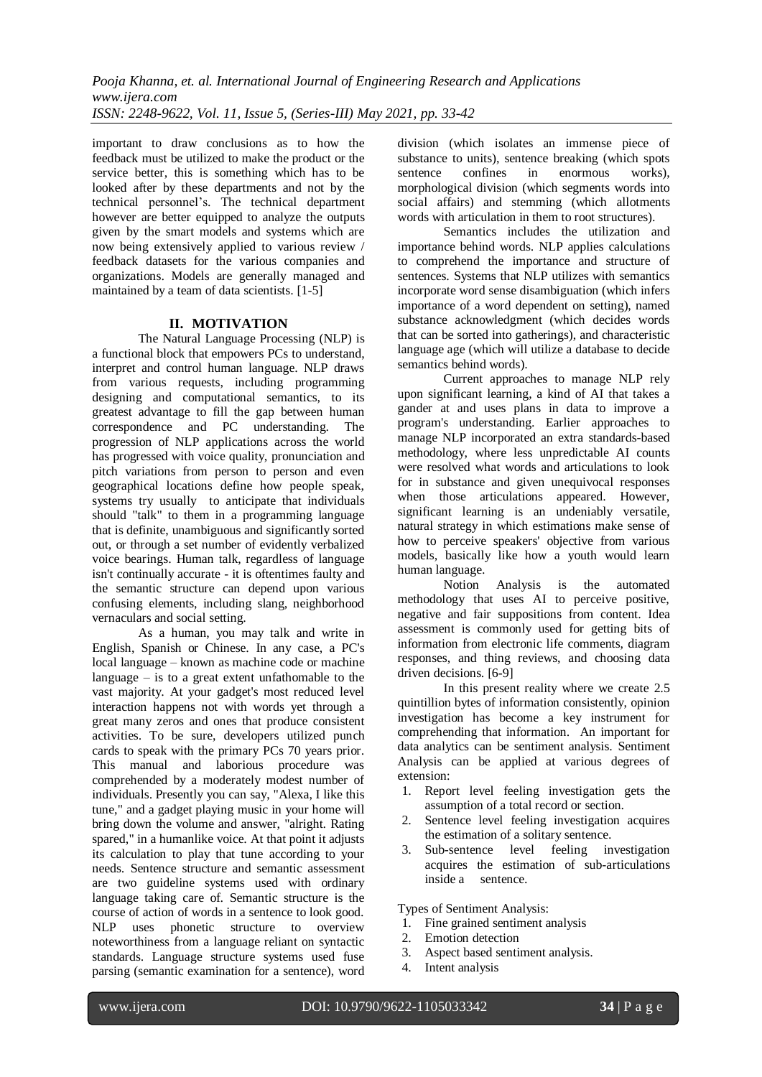important to draw conclusions as to how the feedback must be utilized to make the product or the service better, this is something which has to be looked after by these departments and not by the technical personnel's. The technical department however are better equipped to analyze the outputs given by the smart models and systems which are now being extensively applied to various review / feedback datasets for the various companies and organizations. Models are generally managed and maintained by a team of data scientists. [1-5]

# **II. MOTIVATION**

The Natural Language Processing (NLP) is a functional block that empowers PCs to understand, interpret and control human language. NLP draws from various requests, including programming designing and computational semantics, to its greatest advantage to fill the gap between human correspondence and PC understanding. The progression of NLP applications across the world has progressed with voice quality, pronunciation and pitch variations from person to person and even geographical locations define how people speak, systems try usually to anticipate that individuals should "talk" to them in a programming language that is definite, unambiguous and significantly sorted out, or through a set number of evidently verbalized voice bearings. Human talk, regardless of language isn't continually accurate - it is oftentimes faulty and the semantic structure can depend upon various confusing elements, including slang, neighborhood vernaculars and social setting.

As a human, you may talk and write in English, Spanish or Chinese. In any case, a PC's local language – known as machine code or machine language – is to a great extent unfathomable to the vast majority. At your gadget's most reduced level interaction happens not with words yet through a great many zeros and ones that produce consistent activities. To be sure, developers utilized punch cards to speak with the primary PCs 70 years prior. This manual and laborious procedure was comprehended by a moderately modest number of individuals. Presently you can say, "Alexa, I like this tune," and a gadget playing music in your home will bring down the volume and answer, "alright. Rating spared," in a humanlike voice. At that point it adjusts its calculation to play that tune according to your needs. Sentence structure and semantic assessment are two guideline systems used with ordinary language taking care of. Semantic structure is the course of action of words in a sentence to look good. NLP uses phonetic structure to overview noteworthiness from a language reliant on syntactic standards. Language structure systems used fuse parsing (semantic examination for a sentence), word

division (which isolates an immense piece of substance to units), sentence breaking (which spots sentence confines in enormous works), morphological division (which segments words into social affairs) and stemming (which allotments words with articulation in them to root structures).

Semantics includes the utilization and importance behind words. NLP applies calculations to comprehend the importance and structure of sentences. Systems that NLP utilizes with semantics incorporate word sense disambiguation (which infers importance of a word dependent on setting), named substance acknowledgment (which decides words that can be sorted into gatherings), and characteristic language age (which will utilize a database to decide semantics behind words).

Current approaches to manage NLP rely upon significant learning, a kind of AI that takes a gander at and uses plans in data to improve a program's understanding. Earlier approaches to manage NLP incorporated an extra standards-based methodology, where less unpredictable AI counts were resolved what words and articulations to look for in substance and given unequivocal responses when those articulations appeared. However, significant learning is an undeniably versatile, natural strategy in which estimations make sense of how to perceive speakers' objective from various models, basically like how a youth would learn human language.

Notion Analysis is the automated methodology that uses AI to perceive positive, negative and fair suppositions from content. Idea assessment is commonly used for getting bits of information from electronic life comments, diagram responses, and thing reviews, and choosing data driven decisions. [6-9]

In this present reality where we create 2.5 quintillion bytes of information consistently, opinion investigation has become a key instrument for comprehending that information. An important for data analytics can be sentiment analysis. Sentiment Analysis can be applied at various degrees of extension:

- 1. Report level feeling investigation gets the assumption of a total record or section.
- 2. Sentence level feeling investigation acquires the estimation of a solitary sentence.
- 3. Sub-sentence level feeling investigation acquires the estimation of sub-articulations inside a sentence.

Types of Sentiment Analysis:

- 1. Fine grained sentiment analysis
- 2. Emotion detection
- 3. Aspect based sentiment analysis.
- 4. Intent analysis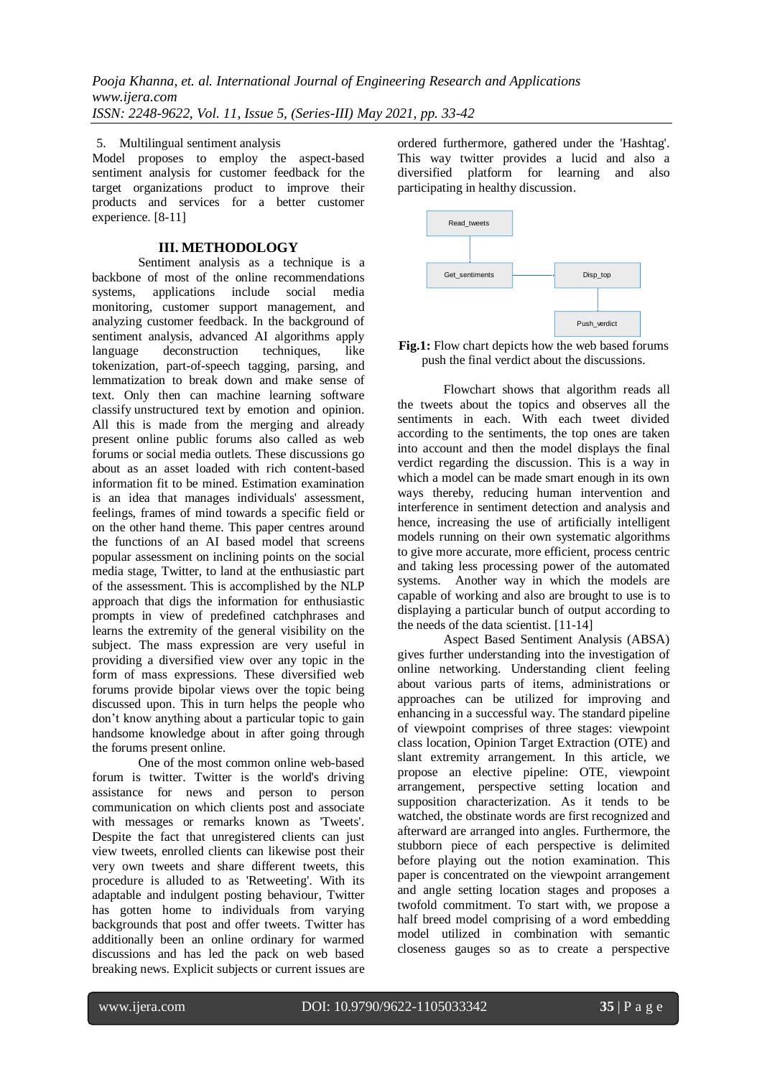5. Multilingual sentiment analysis

Model proposes to employ the aspect-based sentiment analysis for customer feedback for the target organizations product to improve their products and services for a better customer experience. [8-11]

## **III. METHODOLOGY**

Sentiment analysis as a technique is a backbone of most of the online recommendations systems, applications include social media monitoring, customer support management, and analyzing customer feedback. In the background of sentiment analysis, advanced AI algorithms apply language deconstruction techniques, like tokenization, part-of-speech tagging, parsing, and lemmatization to break down and make sense of text. Only then can machine learning software classify [unstructured text](https://monkeylearn.com/unstructured-data/) by emotion and opinion. All this is made from the merging and already present online public forums also called as web forums or social media outlets. These discussions go about as an asset loaded with rich content-based information fit to be mined. Estimation examination is an idea that manages individuals' assessment, feelings, frames of mind towards a specific field or on the other hand theme. This paper centres around the functions of an AI based model that screens popular assessment on inclining points on the social media stage, Twitter, to land at the enthusiastic part of the assessment. This is accomplished by the NLP approach that digs the information for enthusiastic prompts in view of predefined catchphrases and learns the extremity of the general visibility on the subject. The mass expression are very useful in providing a diversified view over any topic in the form of mass expressions. These diversified web forums provide bipolar views over the topic being discussed upon. This in turn helps the people who don't know anything about a particular topic to gain handsome knowledge about in after going through the forums present online.

One of the most common online web-based forum is twitter. Twitter is the world's driving assistance for news and person to person communication on which clients post and associate with messages or remarks known as 'Tweets'. Despite the fact that unregistered clients can just view tweets, enrolled clients can likewise post their very own tweets and share different tweets, this procedure is alluded to as 'Retweeting'. With its adaptable and indulgent posting behaviour, Twitter has gotten home to individuals from varying backgrounds that post and offer tweets. Twitter has additionally been an online ordinary for warmed discussions and has led the pack on web based breaking news. Explicit subjects or current issues are ordered furthermore, gathered under the 'Hashtag'. This way twitter provides a lucid and also a diversified platform for learning and also participating in healthy discussion.



**Fig.1:** Flow chart depicts how the web based forums push the final verdict about the discussions.

Flowchart shows that algorithm reads all the tweets about the topics and observes all the sentiments in each. With each tweet divided according to the sentiments, the top ones are taken into account and then the model displays the final verdict regarding the discussion. This is a way in which a model can be made smart enough in its own ways thereby, reducing human intervention and interference in sentiment detection and analysis and hence, increasing the use of artificially intelligent models running on their own systematic algorithms to give more accurate, more efficient, process centric and taking less processing power of the automated systems. Another way in which the models are capable of working and also are brought to use is to displaying a particular bunch of output according to the needs of the data scientist. [11-14]

Aspect Based Sentiment Analysis (ABSA) gives further understanding into the investigation of online networking. Understanding client feeling about various parts of items, administrations or approaches can be utilized for improving and enhancing in a successful way. The standard pipeline of viewpoint comprises of three stages: viewpoint class location, Opinion Target Extraction (OTE) and slant extremity arrangement. In this article, we propose an elective pipeline: OTE, viewpoint arrangement, perspective setting location and supposition characterization. As it tends to be watched, the obstinate words are first recognized and afterward are arranged into angles. Furthermore, the stubborn piece of each perspective is delimited before playing out the notion examination. This paper is concentrated on the viewpoint arrangement and angle setting location stages and proposes a twofold commitment. To start with, we propose a half breed model comprising of a word embedding model utilized in combination with semantic closeness gauges so as to create a perspective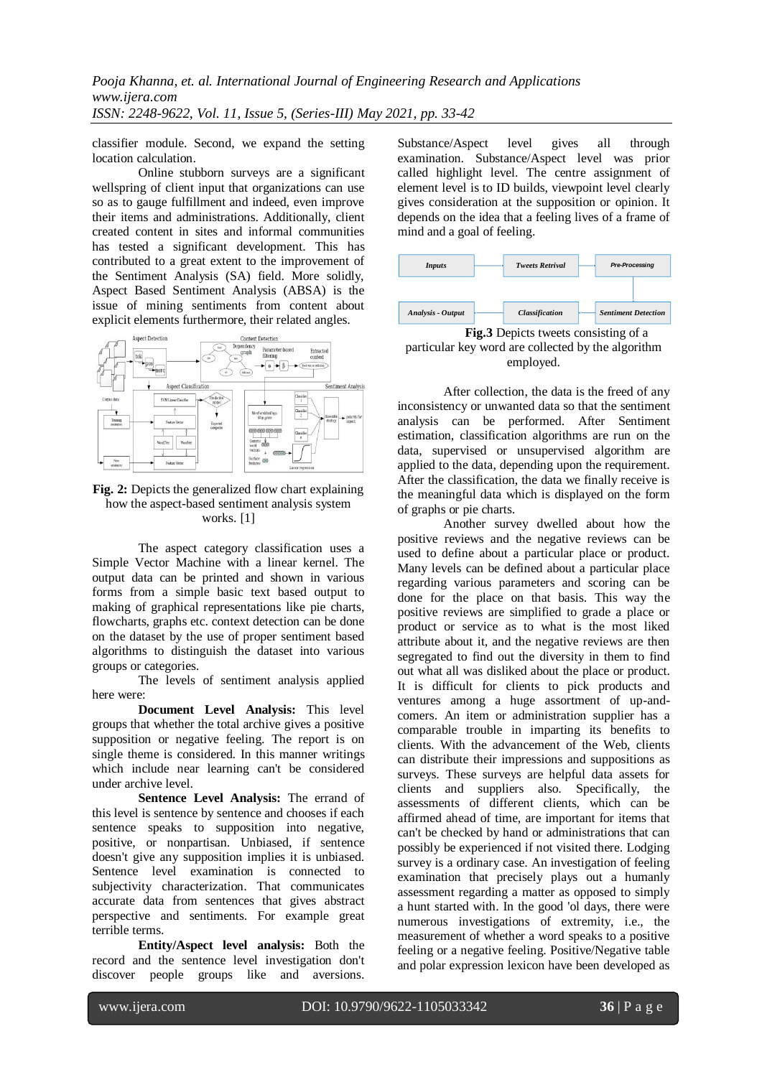classifier module. Second, we expand the setting location calculation.

Online stubborn surveys are a significant wellspring of client input that organizations can use so as to gauge fulfillment and indeed, even improve their items and administrations. Additionally, client created content in sites and informal communities has tested a significant development. This has contributed to a great extent to the improvement of the Sentiment Analysis (SA) field. More solidly, Aspect Based Sentiment Analysis (ABSA) is the issue of mining sentiments from content about explicit elements furthermore, their related angles.



**Fig. 2:** Depicts the generalized flow chart explaining how the aspect-based sentiment analysis system works. [1]

The aspect category classification uses a Simple Vector Machine with a linear kernel. The output data can be printed and shown in various forms from a simple basic text based output to making of graphical representations like pie charts, flowcharts, graphs etc. context detection can be done on the dataset by the use of proper sentiment based algorithms to distinguish the dataset into various groups or categories.

The levels of sentiment analysis applied here were:

**Document Level Analysis:** This level groups that whether the total archive gives a positive supposition or negative feeling. The report is on single theme is considered. In this manner writings which include near learning can't be considered under archive level.

**Sentence Level Analysis:** The errand of this level is sentence by sentence and chooses if each sentence speaks to supposition into negative, positive, or nonpartisan. Unbiased, if sentence doesn't give any supposition implies it is unbiased. Sentence level examination is connected to subjectivity characterization. That communicates accurate data from sentences that gives abstract perspective and sentiments. For example great terrible terms.

**Entity/Aspect level analysis:** Both the record and the sentence level investigation don't discover people groups like and aversions.

Substance/Aspect level gives all through examination. Substance/Aspect level was prior called highlight level. The centre assignment of element level is to ID builds, viewpoint level clearly gives consideration at the supposition or opinion. It depends on the idea that a feeling lives of a frame of mind and a goal of feeling.



**Fig.3** Depicts tweets consisting of a particular key word are collected by the algorithm employed.

After collection, the data is the freed of any inconsistency or unwanted data so that the sentiment analysis can be performed. After Sentiment estimation, classification algorithms are run on the data, supervised or unsupervised algorithm are applied to the data, depending upon the requirement. After the classification, the data we finally receive is the meaningful data which is displayed on the form of graphs or pie charts.

Another survey dwelled about how the positive reviews and the negative reviews can be used to define about a particular place or product. Many levels can be defined about a particular place regarding various parameters and scoring can be done for the place on that basis. This way the positive reviews are simplified to grade a place or product or service as to what is the most liked attribute about it, and the negative reviews are then segregated to find out the diversity in them to find out what all was disliked about the place or product. It is difficult for clients to pick products and ventures among a huge assortment of up-andcomers. An item or administration supplier has a comparable trouble in imparting its benefits to clients. With the advancement of the Web, clients can distribute their impressions and suppositions as surveys. These surveys are helpful data assets for clients and suppliers also. Specifically, the assessments of different clients, which can be affirmed ahead of time, are important for items that can't be checked by hand or administrations that can possibly be experienced if not visited there. Lodging survey is a ordinary case. An investigation of feeling examination that precisely plays out a humanly assessment regarding a matter as opposed to simply a hunt started with. In the good 'ol days, there were numerous investigations of extremity, i.e., the measurement of whether a word speaks to a positive feeling or a negative feeling. Positive/Negative table and polar expression lexicon have been developed as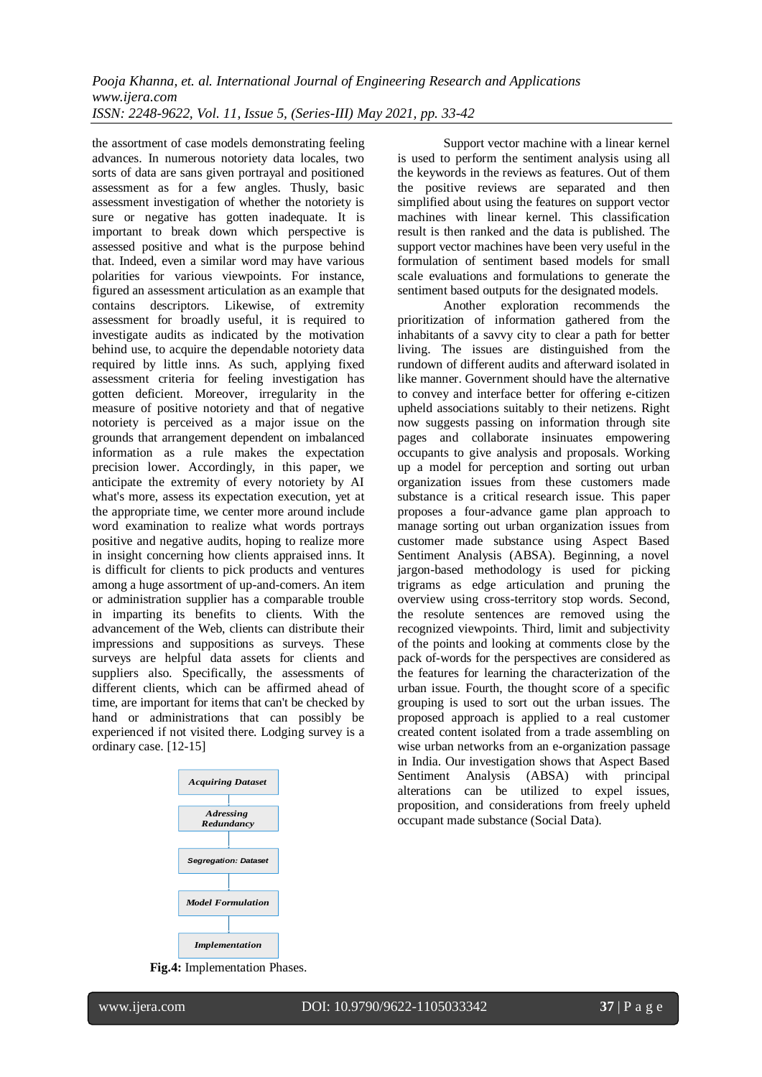the assortment of case models demonstrating feeling advances. In numerous notoriety data locales, two sorts of data are sans given portrayal and positioned assessment as for a few angles. Thusly, basic assessment investigation of whether the notoriety is sure or negative has gotten inadequate. It is important to break down which perspective is assessed positive and what is the purpose behind that. Indeed, even a similar word may have various polarities for various viewpoints. For instance, figured an assessment articulation as an example that contains descriptors. Likewise, of extremity assessment for broadly useful, it is required to investigate audits as indicated by the motivation behind use, to acquire the dependable notoriety data required by little inns. As such, applying fixed assessment criteria for feeling investigation has gotten deficient. Moreover, irregularity in the measure of positive notoriety and that of negative notoriety is perceived as a major issue on the grounds that arrangement dependent on imbalanced information as a rule makes the expectation precision lower. Accordingly, in this paper, we anticipate the extremity of every notoriety by AI what's more, assess its expectation execution, yet at the appropriate time, we center more around include word examination to realize what words portrays positive and negative audits, hoping to realize more in insight concerning how clients appraised inns. It is difficult for clients to pick products and ventures among a huge assortment of up-and-comers. An item or administration supplier has a comparable trouble in imparting its benefits to clients. With the advancement of the Web, clients can distribute their impressions and suppositions as surveys. These surveys are helpful data assets for clients and suppliers also. Specifically, the assessments of different clients, which can be affirmed ahead of time, are important for items that can't be checked by hand or administrations that can possibly be experienced if not visited there. Lodging survey is a ordinary case. [12-15]



Support vector machine with a linear kernel is used to perform the sentiment analysis using all the keywords in the reviews as features. Out of them the positive reviews are separated and then simplified about using the features on support vector machines with linear kernel. This classification result is then ranked and the data is published. The support vector machines have been very useful in the formulation of sentiment based models for small scale evaluations and formulations to generate the sentiment based outputs for the designated models.

Another exploration recommends the prioritization of information gathered from the inhabitants of a savvy city to clear a path for better living. The issues are distinguished from the rundown of different audits and afterward isolated in like manner. Government should have the alternative to convey and interface better for offering e-citizen upheld associations suitably to their netizens. Right now suggests passing on information through site pages and collaborate insinuates empowering occupants to give analysis and proposals. Working up a model for perception and sorting out urban organization issues from these customers made substance is a critical research issue. This paper proposes a four-advance game plan approach to manage sorting out urban organization issues from customer made substance using Aspect Based Sentiment Analysis (ABSA). Beginning, a novel jargon-based methodology is used for picking trigrams as edge articulation and pruning the overview using cross-territory stop words. Second, the resolute sentences are removed using the recognized viewpoints. Third, limit and subjectivity of the points and looking at comments close by the pack of-words for the perspectives are considered as the features for learning the characterization of the urban issue. Fourth, the thought score of a specific grouping is used to sort out the urban issues. The proposed approach is applied to a real customer created content isolated from a trade assembling on wise urban networks from an e-organization passage in India. Our investigation shows that Aspect Based Sentiment Analysis (ABSA) with principal alterations can be utilized to expel issues, proposition, and considerations from freely upheld occupant made substance (Social Data).

**Fig.4:** Implementation Phases.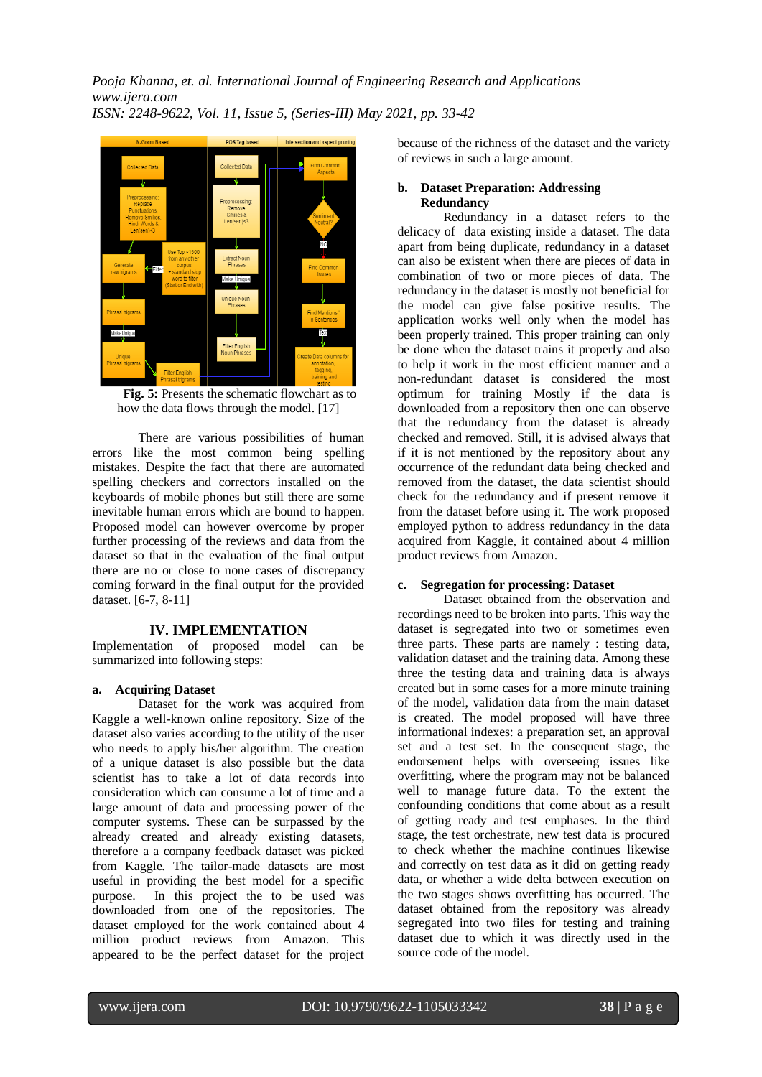

**Fig. 5:** Presents the schematic flowchart as to how the data flows through the model. [17]

There are various possibilities of human errors like the most common being spelling mistakes. Despite the fact that there are automated spelling checkers and correctors installed on the keyboards of mobile phones but still there are some inevitable human errors which are bound to happen. Proposed model can however overcome by proper further processing of the reviews and data from the dataset so that in the evaluation of the final output there are no or close to none cases of discrepancy coming forward in the final output for the provided dataset. [6-7, 8-11]

## **IV. IMPLEMENTATION**

Implementation of proposed model can be summarized into following steps:

#### **a. Acquiring Dataset**

Dataset for the work was acquired from Kaggle a well-known online repository. Size of the dataset also varies according to the utility of the user who needs to apply his/her algorithm. The creation of a unique dataset is also possible but the data scientist has to take a lot of data records into consideration which can consume a lot of time and a large amount of data and processing power of the computer systems. These can be surpassed by the already created and already existing datasets, therefore a a company feedback dataset was picked from Kaggle. The tailor-made datasets are most useful in providing the best model for a specific purpose. In this project the to be used was downloaded from one of the repositories. The dataset employed for the work contained about 4 million product reviews from Amazon. This appeared to be the perfect dataset for the project

because of the richness of the dataset and the variety of reviews in such a large amount.

## **b. Dataset Preparation: Addressing Redundancy**

Redundancy in a dataset refers to the delicacy of data existing inside a dataset. The data apart from being duplicate, redundancy in a dataset can also be existent when there are pieces of data in combination of two or more pieces of data. The redundancy in the dataset is mostly not beneficial for the model can give false positive results. The application works well only when the model has been properly trained. This proper training can only be done when the dataset trains it properly and also to help it work in the most efficient manner and a non-redundant dataset is considered the most optimum for training Mostly if the data is downloaded from a repository then one can observe that the redundancy from the dataset is already checked and removed. Still, it is advised always that if it is not mentioned by the repository about any occurrence of the redundant data being checked and removed from the dataset, the data scientist should check for the redundancy and if present remove it from the dataset before using it. The work proposed employed python to address redundancy in the data acquired from Kaggle, it contained about 4 million product reviews from Amazon.

## **c. Segregation for processing: Dataset**

Dataset obtained from the observation and recordings need to be broken into parts. This way the dataset is segregated into two or sometimes even three parts. These parts are namely : testing data, validation dataset and the training data. Among these three the testing data and training data is always created but in some cases for a more minute training of the model, validation data from the main dataset is created. The model proposed will have three informational indexes: a preparation set, an approval set and a test set. In the consequent stage, the endorsement helps with overseeing issues like overfitting, where the program may not be balanced well to manage future data. To the extent the confounding conditions that come about as a result of getting ready and test emphases. In the third stage, the test orchestrate, new test data is procured to check whether the machine continues likewise and correctly on test data as it did on getting ready data, or whether a wide delta between execution on the two stages shows overfitting has occurred. The dataset obtained from the repository was already segregated into two files for testing and training dataset due to which it was directly used in the source code of the model.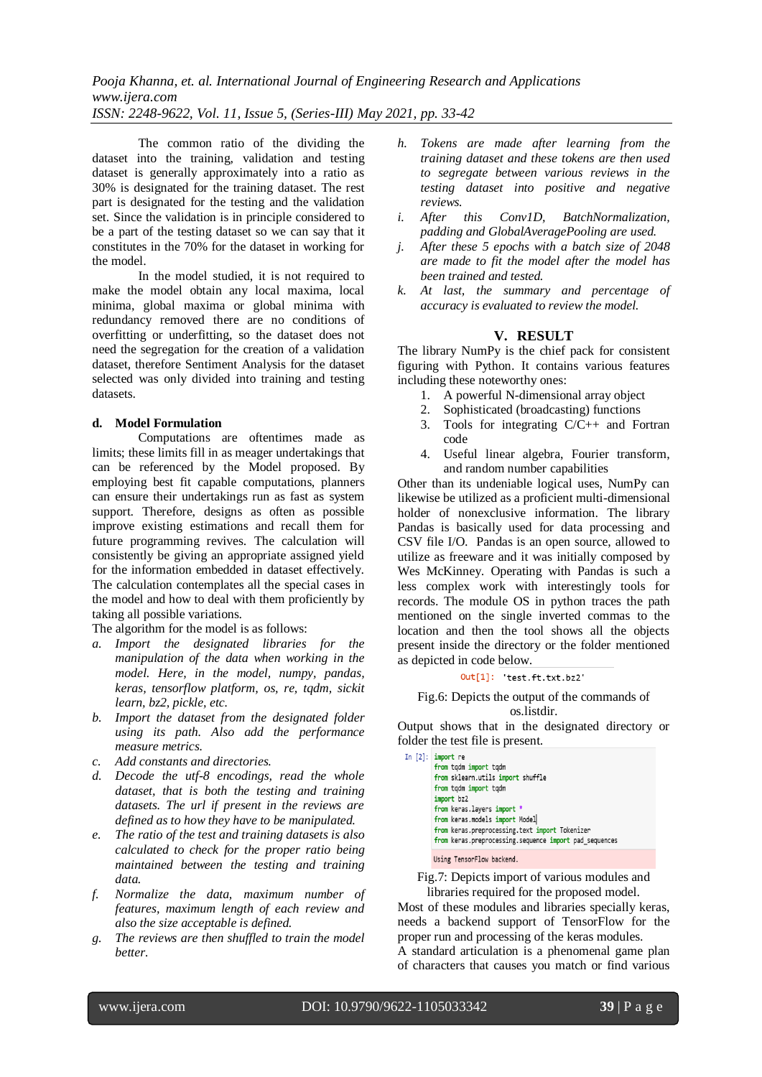The common ratio of the dividing the dataset into the training, validation and testing dataset is generally approximately into a ratio as 30% is designated for the training dataset. The rest part is designated for the testing and the validation set. Since the validation is in principle considered to be a part of the testing dataset so we can say that it constitutes in the 70% for the dataset in working for the model.

In the model studied, it is not required to make the model obtain any local maxima, local minima, global maxima or global minima with redundancy removed there are no conditions of overfitting or underfitting, so the dataset does not need the segregation for the creation of a validation dataset, therefore Sentiment Analysis for the dataset selected was only divided into training and testing datasets.

#### **d. Model Formulation**

Computations are oftentimes made as limits; these limits fill in as meager undertakings that can be referenced by the Model proposed. By employing best fit capable computations, planners can ensure their undertakings run as fast as system support. Therefore, designs as often as possible improve existing estimations and recall them for future programming revives. The calculation will consistently be giving an appropriate assigned yield for the information embedded in dataset effectively. The calculation contemplates all the special cases in the model and how to deal with them proficiently by taking all possible variations.

The algorithm for the model is as follows:

- *a. Import the designated libraries for the manipulation of the data when working in the model. Here, in the model, numpy, pandas, keras, tensorflow platform, os, re, tqdm, sickit learn, bz2, pickle, etc.*
- *b. Import the dataset from the designated folder using its path. Also add the performance measure metrics.*
- *c. Add constants and directories.*
- *d. Decode the utf-8 encodings, read the whole dataset, that is both the testing and training datasets. The url if present in the reviews are defined as to how they have to be manipulated.*
- *e. The ratio of the test and training datasets is also calculated to check for the proper ratio being maintained between the testing and training data.*
- *f. Normalize the data, maximum number of features, maximum length of each review and also the size acceptable is defined.*
- *g. The reviews are then shuffled to train the model better.*
- *h. Tokens are made after learning from the training dataset and these tokens are then used to segregate between various reviews in the testing dataset into positive and negative reviews.*
- *i. After this Conv1D, BatchNormalization, padding and GlobalAveragePooling are used.*
- *j. After these 5 epochs with a batch size of 2048 are made to fit the model after the model has been trained and tested.*
- *k. At last, the summary and percentage of accuracy is evaluated to review the model.*

## **V. RESULT**

The library NumPy is the chief pack for consistent figuring with Python. It contains various features including these noteworthy ones:

- 1. A powerful N-dimensional array object
- 2. Sophisticated (broadcasting) functions
- 3. Tools for integrating C/C++ and Fortran code
- 4. Useful linear algebra, Fourier transform, and random number capabilities

Other than its undeniable logical uses, NumPy can likewise be utilized as a proficient multi-dimensional holder of nonexclusive information. The library Pandas is basically used for data processing and CSV file I/O. Pandas is an open source, allowed to utilize as freeware and it was initially composed by Wes McKinney. Operating with Pandas is such a less complex work with interestingly tools for records. The module OS in python traces the path mentioned on the single inverted commas to the location and then the tool shows all the objects present inside the directory or the folder mentioned as depicted in code below.

#### Out[1]: 'test.ft.txt.bz2'

#### Fig.6: Depicts the output of the commands of os.listdir.

Output shows that in the designated directory or folder the test file is present.

| In $[2]$ : import re<br>from tqdm import tqdm<br>from sklearn.utils import shuffle<br>from tqdm import tqdm<br>import bz2<br>from keras.layers import *<br>from keras.models import Model<br>from keras.preprocessing.text import Tokenizer<br>from keras.preprocessing.sequence import pad sequences |
|-------------------------------------------------------------------------------------------------------------------------------------------------------------------------------------------------------------------------------------------------------------------------------------------------------|
| Ilsing TensorFlow hackend                                                                                                                                                                                                                                                                             |

Fig.7: Depicts import of various modules and libraries required for the proposed model.

Most of these modules and libraries specially keras, needs a backend support of TensorFlow for the proper run and processing of the keras modules. A standard articulation is a phenomenal game plan of characters that causes you match or find various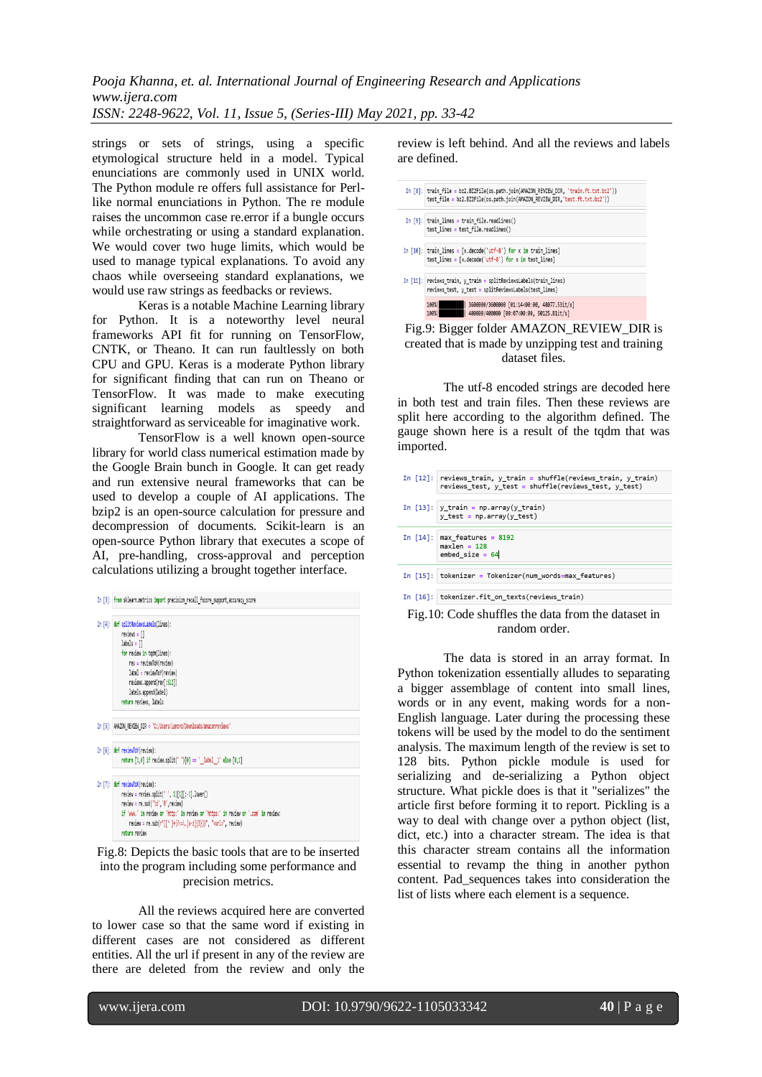strings or sets of strings, using a specific etymological structure held in a model. Typical enunciations are commonly used in UNIX world. The Python module re offers full assistance for Perllike normal enunciations in Python. The re module raises the uncommon case re.error if a bungle occurs while orchestrating or using a standard explanation. We would cover two huge limits, which would be used to manage typical explanations. To avoid any chaos while overseeing standard explanations, we would use raw strings as feedbacks or reviews.

Keras is a notable Machine Learning library for Python. It is a noteworthy level neural frameworks API fit for running on TensorFlow, CNTK, or Theano. It can run faultlessly on both CPU and GPU. Keras is a moderate Python library for significant finding that can run on Theano or TensorFlow. It was made to make executing significant learning models as speedy and straightforward as serviceable for imaginative work.

TensorFlow is a well known open-source library for world class numerical estimation made by the Google Brain bunch in Google. It can get ready and run extensive neural frameworks that can be used to develop a couple of AI applications. The bzip2 is an open-source calculation for pressure and decompression of documents. Scikit-learn is an open-source Python library that executes a scope of AI, pre-handling, cross-approval and perception calculations utilizing a brought together interface.



Fig.8: Depicts the basic tools that are to be inserted into the program including some performance and precision metrics.

All the reviews acquired here are converted to lower case so that the same word if existing in different cases are not considered as different entities. All the url if present in any of the review are there are deleted from the review and only the

review is left behind. And all the reviews and labels are defined.



Fig.9: Bigger folder AMAZON\_REVIEW\_DIR is created that is made by unzipping test and training dataset files.

The utf-8 encoded strings are decoded here in both test and train files. Then these reviews are split here according to the algorithm defined. The gauge shown here is a result of the todm that was imported.

|  | In [12]: reviews_train, y_train = shuffle(reviews_train, y_train)<br>reviews_test, y_test = shuffle(reviews_test, y_test) |
|--|---------------------------------------------------------------------------------------------------------------------------|
|  |                                                                                                                           |
|  | In $[13]$ : y train = np.array(y train)<br>$y$ test = np.array( $y$ test)                                                 |
|  |                                                                                                                           |
|  | In $[14]$ : max_features = 8192<br>$maxlen = 128$<br>embed size = $64$                                                    |
|  |                                                                                                                           |
|  | In [15]: tokenizer = Tokenizer(num_words=max features)                                                                    |
|  |                                                                                                                           |
|  |                                                                                                                           |

In [16]: tokenizer.fit\_on\_texts(reviews\_train)

#### Fig.10: Code shuffles the data from the dataset in random order.

The data is stored in an array format. In Python tokenization essentially alludes to separating a bigger assemblage of content into small lines, words or in any event, making words for a non-English language. Later during the processing these tokens will be used by the model to do the sentiment analysis. The maximum length of the review is set to 128 bits. Python pickle module is used for serializing and de-serializing a Python object structure. What pickle does is that it "serializes" the article first before forming it to report. Pickling is a way to deal with change over a python object (list, dict, etc.) into a character stream. The idea is that this character stream contains all the information essential to revamp the thing in another python content. Pad\_sequences takes into consideration the list of lists where each element is a sequence.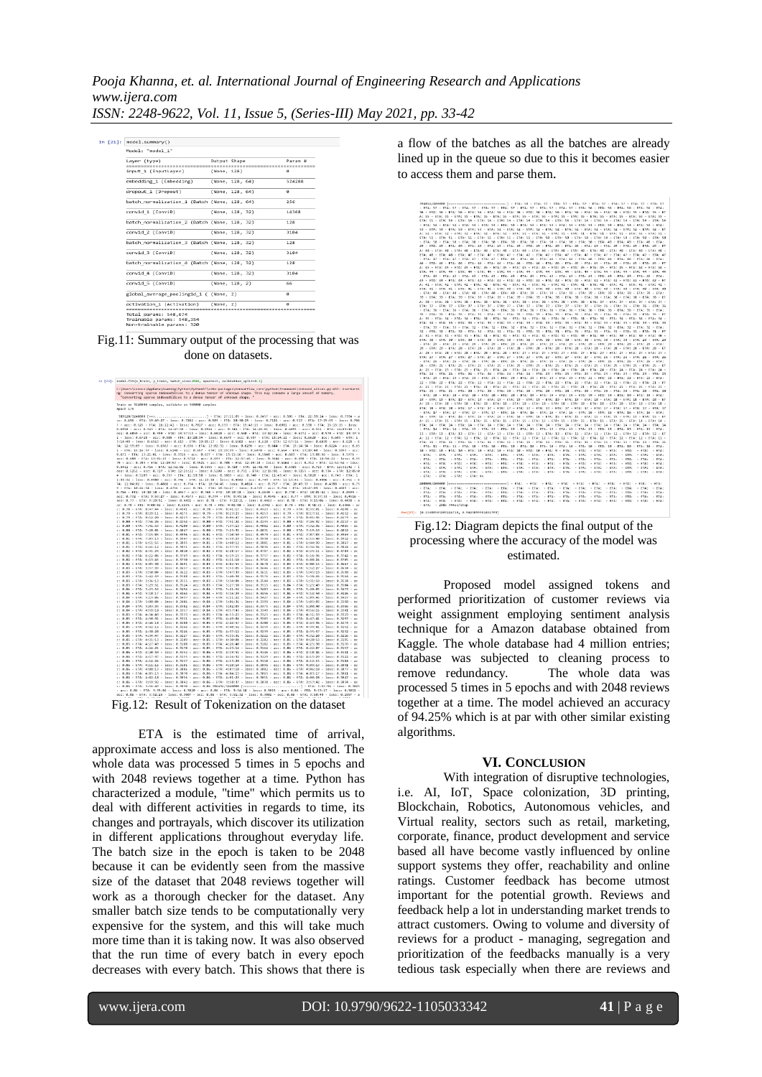| Model: "model 1"                                               |                 |  |                                                       |
|----------------------------------------------------------------|-----------------|--|-------------------------------------------------------|
| Laver (type)                                                   | Output Shape    |  | Param <sub>al</sub><br>,,,,,,,,,,,,,,,,,,,,,,,,,,,,,, |
| input 1 (InputLayer)                                           | (None, 128)     |  | $\alpha$                                              |
| embedding 1 (Embedding)                                        | (None, 128, 64) |  | 524288                                                |
| dropout 1 (Dropout)                                            | (None, 128, 64) |  | a                                                     |
| batch normalization 1 (Batch (None, 128, 64)                   |                 |  | 256                                                   |
| conv1d 1 (Conv1D)                                              | (None, 128, 32) |  | 14368                                                 |
| batch normalization 2 (Batch (None, 128, 32)                   |                 |  | 128                                                   |
| conv1d 2 (Conv1D)                                              | (None, 128, 32) |  | 3104                                                  |
| batch normalization 3 (Batch (None, 128, 32)                   |                 |  | 128                                                   |
| conv1d_3 (Conv1D)                                              | (None, 128, 32) |  | 3194                                                  |
| batch normalization 4 (Batch (None, 128, 32)                   |                 |  | 128                                                   |
| conv1d 4 (Conv1D)                                              | (None, 128, 32) |  | 3104                                                  |
| conv1d 5 (Conv1D)                                              | (None, 128, 2)  |  | 66                                                    |
| global_average_pooling1d_1 ( (None, 2)                         |                 |  | ø                                                     |
| activation 1 (Activation)<br>--------------------------------- | (None, 2)       |  | Й<br>----------------------------                     |

Fig.11: Summary output of the processing that was done on datasets.

| announced a district to a commonly district that a considered a distribution of a common and a contract of                                                                                                                                                                                                                                                                                                                                                                                                                                                                                                                                                                                                                                                                                                                                                                                                                                                                                                                                                                                                                                                                                |
|-------------------------------------------------------------------------------------------------------------------------------------------------------------------------------------------------------------------------------------------------------------------------------------------------------------------------------------------------------------------------------------------------------------------------------------------------------------------------------------------------------------------------------------------------------------------------------------------------------------------------------------------------------------------------------------------------------------------------------------------------------------------------------------------------------------------------------------------------------------------------------------------------------------------------------------------------------------------------------------------------------------------------------------------------------------------------------------------------------------------------------------------------------------------------------------------|
| C:\Users\Lenovo\AppData\Roaming\Python\Python37\site-packages\tensorflow_core\python\framework\indexed_slices.py:433: UserWarni<br>ng: Converting sparse IndexedSlices to a dense Tensor of unknown shape. This may consume a large amount of memory.<br>"Converting sparse IndexedSlices to a dense Tensor of unknown shape. "                                                                                                                                                                                                                                                                                                                                                                                                                                                                                                                                                                                                                                                                                                                                                                                                                                                           |
| Train on 3240000 samples, validate on 360000 samples<br>Fpoch 1/5                                                                                                                                                                                                                                                                                                                                                                                                                                                                                                                                                                                                                                                                                                                                                                                                                                                                                                                                                                                                                                                                                                                         |
| 389120/3240000 [-->] - ETA: 27:11:03 - loss: 0.7457 - acc: 0.505 - ETA: 22:39:14 - loss: 0.7334 - a<br>cc: 0.496 - ETA: 19:49:27 - loss: 0.7202 - acc: 0.503 - ETA: 18:30:25 - loss: 0.7121 - acc: 0.517 - ETA: 17:15:59 - loss: 0.706<br>7 - acc: 0.525 - ETA: 16:21:41 - loss: 0.7017 - acc: 0.533 - ETA: 15:43:15 - loss: 0.6981 - acc: 0.538 - ETA: 15:13:15 - loss:<br>0.6950 - acc: 0.543 - ETA: 14:47:50 - loss: 0.6924 - acc: 0.546 - ETA: 14:26:01 - loss: 0.6893 - acc: 0.551 - ETA: 14:09:10 - l<br>oss: 0.6859 - acc: 0.559 - ETA: 13:57:13 - loss: 0.6818 - acc: 0.568 - ETA: 13:42:26 - loss: 0.6772 - acc: 0.579 - ETA: 13:37:3<br>1 - loss: 0.6728 - acc: 0.588 - ETA: 13:28:34 - loss: 0.6679 - acc: 0.597 - ETA: 13:24:21 - loss: 0.6620 - acc: 0.605 - ETA: 1<br>3:14:49 - loss: 0.6563 - acc: 0.613 - ETA: 13:05:27 - loss: 0.6502 - acc: 0.620 - ETA: 12:57:16 - loss: 0.6439 - acc: 0.628 - E<br>TA: 12:59:09 - loss: 0.6367 - acc: 0.636 - ETA: 13:02:31 - loss: 0.6296 - acc: 0.644 - ETA: 13:14:34 - loss: 0.6224 - acc: 0.65<br>1 - ETA: 13:16:37 - loss: 0.6148 - acc: 0.657 - ETA: 13:19:39 - loss: 0.6070 - acc: 0.664 - ETA: 13:19:40 - loss: 0.5993 - acc: |
| 0.671 - ETA: 13:21:01 - loss: 0.5916 - acc: 0.677 - ETA: 13:15:16 - loss: 0.5848 - acc: 0.683 - ETA: 13:08:56 - loss: 0.5776 -<br>acc: 0.688 - ETA: 13:01:23 - loss: 0.5712 - acc: 0.693 - ETA: 12:57:45 - loss: 0.5644 - acc: 0.698 - ETA: 12:56:21 - loss: 0.55<br>79 - acc: 0.703 - ETA: 12:49:57 - loss: 0.5521 - acc: 0.708 - ETA: 12:49:10 - loss: 0.5464 - acc: 0.712 - ETA: 12:51:54 - loss:                                                                                                                                                                                                                                                                                                                                                                                                                                                                                                                                                                                                                                                                                                                                                                                      |
| 0.5411 - acc: 0.716 - FTA: 12:52:02 - loss: 0.5355 - acc: 0.720 - FTA: 12:41:40 - loss: 0.5303 - acc: 0.723 - FTA: 12:31:42 - 1<br>oss: 0.5252 - acc: 0.727 - ETA: 12:25:22 - loss: 0.5200 - acc: 0.731 - ETA: 12:15:01 - loss: 0.5155 - acc: 0.734 - ETA: 12:05:0<br>4 - loss: 0.5109 - acc: 0.737 - ETA: 11:53:58 - loss: 0.5063 - acc: 0.740 - ETA: 11:43:47 - loss: 0.5020 - acc: 0.743 - ETA: 1<br>1:33:32 - loss: 0.4980 - acc: 0.746 - ETA: 11:23:30 - loss: 0.4942 - acc: 0.749 - ETA: 11:13:41 - loss: 0.4906 - acc: 0.751 - E                                                                                                                                                                                                                                                                                                                                                                                                                                                                                                                                                                                                                                                   |
| TA: 11:04:02 - loss: 0.4866 - acc: 0.754 - ETA: 10:54:45 - loss: 0.4824 - acc: 0.757 - ETA: 10:49:37 - loss: 0.4788 - acc: 0.75<br>9 - ETA: 10:41:54 - loss: 0.4756 - acc: 0.761 - ETA: 10:34:27 - loss: 0.4719 - acc: 0.764 - ETA: 10:27:03 - loss: 0.4689 - acc:<br>0.766 - ETA: 10:18:18 - loss: 0.4657 - acc: 0.768 - ETA: 10:10:18 - loss: 0.4630 - acc: 0.770 - ETA: 10:01:42 - loss: 0.4599 -                                                                                                                                                                                                                                                                                                                                                                                                                                                                                                                                                                                                                                                                                                                                                                                      |
| acc: 0.772 - ETA: 9:53:27 - loss: 0.4573 - acc: 0.774 - ETA: 9:45:16 - loss: 0.4545 - acc: 0.77 - ETA: 9:37:33 - loss: 0.4516 -<br>acc: 0.77 - ETA: 9:29:51 - loss: 0.4492 - acc: 0.78 - ETA: 9:22:21 - loss: 0.4463 - acc: 0.78 - ETA: 9:15:06 - loss: 0.4438 - a<br>cc: 0.78 - ETA: 9:08:02 - loss: 0.4415 - acc: 0.78 - ETA: 9:01:08 - loss: 0.4392 - acc: 0.78 - ETA: 8:54:21 - loss: 0.4366 - ac                                                                                                                                                                                                                                                                                                                                                                                                                                                                                                                                                                                                                                                                                                                                                                                     |
| c: 0.78 - ETA: 8:47:44 - loss: 0.4341 - acc: 0.78 - ETA: 8:41:17 - loss: 0.4323 - acc: 0.79 - ETA: 8:35:01 - loss: 0.4298 - ac<br>c: 0.79 - ETA: 8:29:11 - loss: 0.4275 - acc: 0.79 - ETA: 8:23:23 - loss: 0.4253 - acc: 0.79 - ETA: 8:17:51 - loss: 0.4232 - ac<br>c: 0.79 - ETA: 8:12:20 - loss: 0.4213 - acc: 0.79 - ETA: 8:06:47 - loss: 0.4193 - acc: 0.79 - ETA: 8:01:36 - loss: 0.4173 - ac                                                                                                                                                                                                                                                                                                                                                                                                                                                                                                                                                                                                                                                                                                                                                                                        |
| c: 0.80 - ETA: 7:56:26 - loss: 0.4154 - acc: 0.80 - ETA: 7:51:24 - loss: 0.4135 - acc: 0.80 - ETA: 7:46:32 - loss: 0.4117 - ac<br>c: 0.80 - ETA: 7:41:53 - loss: 0.4100 - acc: 0.80 - ETA: 7:37:13 - loss: 0.4082 - acc: 0.80 - ETA: 7:32:36 - loss: 0.4065 - ac<br>c: 0.80 - ETA: 7:28:01 - loss: 0.4047 - acc: 0.80 - ETA: 7:23:31 - loss: 0.4031 - acc: 0.80 - ETA: 7:19:19 - loss: 0.4012 - ac                                                                                                                                                                                                                                                                                                                                                                                                                                                                                                                                                                                                                                                                                                                                                                                        |
| c: 0.81 - BTA: 7:15:03 - loss: 0.3996 - acc: 0.81 - BTA: 7:10:59 - loss: 0.3979 - acc: 0.81 - BTA: 7:07:03 - loss: 0.3963 - ac<br>c: 0.81 - ETA: 7:03:13 - loss: 0.3947 - acc: 0.81 - ETA: 6:59:23 - loss: 0.3930 - acc: 0.81 - ETA: 6:55:40 - loss: 0.3912 - ac<br>c: 0.81 - ETA: 6:51:55 - loss: 0.3895 - acc: 0.81 - ETA: 6:48:12 - loss: 0.3881 - acc: 0.81 - ETA: 6:44:39 - loss: 0.3867 - ac                                                                                                                                                                                                                                                                                                                                                                                                                                                                                                                                                                                                                                                                                                                                                                                        |
| c: 0.81 - ETA: 6:41:12 - loss: 0.3851 - acc: 0.82 - ETA: 6:37:55 - loss: 0.3836 - acc: 0.82 - ETA: 6:34:34 - loss: 0.3824 - ac<br>c: 0.82 - ETA: 6:31:23 - loss: 0.3810 - acc: 0.82 - ETA: 6:28:17 - loss: 0.3797 - acc: 0.82 - ETA: 6:25:11 - loss: 0.3783 - ac<br>c: 0.82 - ETA: 6:22:06 - loss: 0.3760 - acc: 0.82 - ETA: 6:19:15 - loss: 0.3757 - acc: 0.82 - ETA: 6:16:36 - loss: 0.3742 - ac                                                                                                                                                                                                                                                                                                                                                                                                                                                                                                                                                                                                                                                                                                                                                                                        |
| c: 0.82 - ETA: 6:13:45 - loss: 0.3730 - acc: 0.82 - ETA: 6:11:10 - loss: 0.3716 - acc: 0.82 - ETA: 6:08:24 - loss: 0.3705 - ac<br>c: 0.82 - ETA: 6:05:38 - loss: 0.3691 - acc: 0.83 - ETA: 6:02:55 - loss: 0.3678 - acc: 0.83 - ETA: 6:00:15 - loss: 0.3667 - ac<br>c: 0.83 - ETA: 5:57:33 - loss: 0.3657 - acc: 0.83 - ETA: 5:55:05 - loss: 0.3646 - acc: 0.83 - ETA: 5:52:27 - loss: 0.3634 - ac                                                                                                                                                                                                                                                                                                                                                                                                                                                                                                                                                                                                                                                                                                                                                                                        |
| c: 0.83 - ETA: 5:50:04 - loss: 0.3622 - acc: 0.83 - ETA: 5:47:39 - loss: 0.3611 - acc: 0.83 - ETA: 5:45:19 - loss: 0.3598 - ac<br>c: 0.83 - ETA: 5:42:59 - loss: 0.3588 - acc: 0.83 - ETA: 5:40:38 - loss: 0.3576 - acc: 0.83 - ETA: 5:38:26 - loss: 0.3564 - ac<br>c: 0.83 - ETA: 5:36:13 - loss: 0.3555 - acc: 0.83 - ETA: 5:34:04 - loss: 0.3544 - acc: 0.83 - ETA: 5:31:59 - loss: 0.3534 - ac                                                                                                                                                                                                                                                                                                                                                                                                                                                                                                                                                                                                                                                                                                                                                                                        |
| c: 0.83 - ETA: 5:29:51 - loss: 0.3524 - acc: 0.83 - ETA: 5:27:50 - loss: 0.3515 - acc: 0.84 - ETA: 5:25:49 - loss: 0.3504 - ac<br>c: 0.84 - ETA: 5:23:52 - loss: 0.3494 - acc: 0.84 - ETA: 5:21:56 - loss: 0.3483 - acc: 0.84 - ETA: 5:20:05 - loss: 0.3473 - ac<br>c: 0.84 - ETA: 5:18:17 - loss: 0.3464 - acc: 0.84 - ETA: 5:16:29 - loss: 0.3456 - acc: 0.84 - ETA: 5:14:50 - loss: 0.3446 - ac                                                                                                                                                                                                                                                                                                                                                                                                                                                                                                                                                                                                                                                                                                                                                                                        |
| c: 0.84 - ETA: 5:13:06 - loss: 0.3437 - acc: 0.84 - ETA: 5:11:22 - loss: 0.3427 - acc: 0.84 - ETA: 5:09:45 - loss: 0.3417 - ac<br>c: 0.84 - ETA: 5:08:04 - loss: 0.3406 - acc: 0.84 - ETA: 5:06:36 - loss: 0.3399 - acc: 0.84 - ETA: 5:05:03 - loss: 0.3390 - ac<br>c: 0.84 - ETA: 5:03:33 - loss: 0.3382 - acc: 0.84 - ETA: 5:02:03 - loss: 0.3375 - acc: 0.84 - ETA: 5:00:40 - loss: 0.3366 - ac                                                                                                                                                                                                                                                                                                                                                                                                                                                                                                                                                                                                                                                                                                                                                                                        |
| c: 0.84 - ETA: 4:59:10 - loss: 0.3357 - acc: 0.84 - ETA: 4:57:43 - loss: 0.3349 - acc: 0.84 - ETA: 4:56:16 - loss: 0.3341 - ac<br>c: 0.85 - ETA: 4:54:49 - loss: 0.3333 - acc: 0.85 - ETA: 4:53:25 - loss: 0.3325 - acc: 0.85 - ETA: 4:51:59 - loss: 0.3319 - ac<br>c: 0.85 - ETA: 4:50:31 - loss: 0.3311 - acc: 0.85 - ETA: 4:49:04 - loss: 0.3305 - acc: 0.85 - ETA: 4:47:41 - loss: 0.3297 - ac                                                                                                                                                                                                                                                                                                                                                                                                                                                                                                                                                                                                                                                                                                                                                                                        |
| c: 0.85 - ETA: 4:46:18 - loss: 0.3288 - acc: 0.85 - ETA: 4:44:57 - loss: 0.3280 - acc: 0.85 - ETA: 4:43:36 - loss: 0.3273 - ac<br>c: 0.85 - ETA: 4:42:16 - loss: 0.3266 - acc: 0.85 - ETA: 4:40:56 - loss: 0.3259 - acc: 0.85 - ETA: 4:39:41 - loss: 0.3252 - ac<br>c: 0.85 - ETA: 4:38:28 - loss: 0.3246 - acc: 0.85 - ETA: 4:37:12 - loss: 0.3239 - acc: 0.85 - ETA: 4:35:57 - loss: 0.3232 - ac                                                                                                                                                                                                                                                                                                                                                                                                                                                                                                                                                                                                                                                                                                                                                                                        |
| c: 0.85 - ETA: 4:34:47 - loss: 0.3227 - acc: 0.85 - ETA: 4:33:31 - loss: 0.3222 - acc: 0.85 - ETA: 4:32:20 - loss: 0.3216 - ac<br>c: 0.85 - ETA: 4:31:13 - loss: 0.3209 - acc: 0.85 - ETA: 4:30:04 - loss: 0.3202 - acc: 0.85 - ETA: 4:28:53 - loss: 0.3195 - ac<br>c: 0.85 - ETA: 4:27:49 - loss: 0.3188 - acc: 0.85 - ETA: 4:26:40 - loss: 0.3182 - acc: 0.85 - ETA: 4:25:30 - loss: 0.3176 - ac                                                                                                                                                                                                                                                                                                                                                                                                                                                                                                                                                                                                                                                                                                                                                                                        |
| c: 0.85 - ETA: 4:24:21 - loss: 0.3170 - acc: 0.85 - ETA: 4:23:14 - loss: 0.3164 - acc: 0.86 - ETA: 4:22:07 - loss: 0.3157 - ac<br>c: 0.86 - ETA: 4:20:59 - loss: 0.3152 - acc: 0.86 - ETA: 4:19:51 - loss: 0.3146 - acc: 0.86 - ETA: 4:18:44 - loss: 0.3141 - ac<br>c: 0.86 - ETA: 4:17:37 - loss: 0.3135 - acc: 0.86 - ETA: 4:16:32 - loss: 0.3129 - acc: 0.86 - ETA: 4:15:29 - loss: 0.3122 - ac                                                                                                                                                                                                                                                                                                                                                                                                                                                                                                                                                                                                                                                                                                                                                                                        |
| c: 0.86 - ETA: 4:14:24 - loss: 0.3117 - acc: 0.86 - ETA: 4:13:20 - loss: 0.3110 - acc: 0.86 - ETA: 4:12:15 - loss: 0.3104 - ac<br>c: 0.86 - ETA: 4:11:16 - loss: 0.3101 - acc: 0.86 - ETA: 4:10:14 - loss: 0.3096 - acc: 0.86 - ETA: 4:09:13 - loss: 0.3091 - ac<br>c: 0.86 - ETA: 4:08:13 - loss: 0.3086 - acc: 0.86 - ETA: 4:07:10 - loss: 0.3082 - acc: 0.86 - ETA: 4:06:10 - loss: 0.3077 - ac                                                                                                                                                                                                                                                                                                                                                                                                                                                                                                                                                                                                                                                                                                                                                                                        |
| c: 0.86 - ETA: 4:05:13 - loss: 0.3070 - acc: 0.86 - ETA: 4:04:15 - loss: 0.3065 - acc: 0.86 - ETA: 4:03:17 - loss: 0.3061 - ac<br>c: 0.86 - ETA: 4:02:18 - loss: 0.3056 - acc: 0.86 - ETA: 4:01:23 - loss: 0.3051 - acc: 0.86 - ETA: 4:00:28 - loss: 0.3047 - ac<br>c: 0.86 - ETA: 3:59:32 - loss: 0.3042 - acc: 0.86 - ETA: 3:58:37 - loss: 0.3038 - acc: 0.86 - ETA: 3:57:42 - loss: 0.3034 - ac                                                                                                                                                                                                                                                                                                                                                                                                                                                                                                                                                                                                                                                                                                                                                                                        |
| c: 0.86 - ETA: 3:56:49 - loss: 0.3030 - acc: 0.86 786432/3240000 [------->] - ETA: 3:55:56 - loss: 0.3025<br>- acc: 0.86 - ETA: 3:55:02 - loss: 0.3020 - acc: 0.86 - ETA: 3:54:10 - loss: 0.3015 - acc: 0.86 - ETA: 3:53:17 - loss: 0.3011 -<br>acc: 0.86 - ETA: 3:52:25 - loss: 0.3007 - acc: 0.86 - ETA: 3:51:32 - loss: 0.3002 - acc: 0.86 - ETA: 3:50:43 - loss: 0.2997 - a                                                                                                                                                                                                                                                                                                                                                                                                                                                                                                                                                                                                                                                                                                                                                                                                           |

Fig.12: Result of Tokenization on the dataset

ETA is the estimated time of arrival, approximate access and loss is also mentioned. The whole data was processed 5 times in 5 epochs and with 2048 reviews together at a time. Python has characterized a module, "time" which permits us to deal with different activities in regards to time, its changes and portrayals, which discover its utilization in different applications throughout everyday life. The batch size in the epoch is taken to be 2048 because it can be evidently seen from the massive size of the dataset that 2048 reviews together will work as a thorough checker for the dataset. Any smaller batch size tends to be computationally very expensive for the system, and this will take much more time than it is taking now. It was also observed that the run time of every batch in every epoch decreases with every batch. This shows that there is

a flow of the batches as all the batches are already lined up in the queue so due to this it becomes easier to access them and parse them.

|                                               | - ETA: 57 - ETA: 57 - ETA: 57 - ETA: 57 - ETA: 57 - ETA: 57 - ETA: 57 - ETA: 57 - ETA: 56 - ETA: 56 - ETA: 56 - ETA: 56 - ETA: 56 - ETA:                                                                                       |
|-----------------------------------------------|--------------------------------------------------------------------------------------------------------------------------------------------------------------------------------------------------------------------------------|
|                                               |                                                                                                                                                                                                                                |
|                                               | 56 - ETA: 56 - ETA: 56 - ETA: 56 - ETA: 56 - ETA: 56 - ETA: 56 - ETA: 56 - ETA: 56 - ETA: 56 - ETA: 56 - ETA: 57 - ETA: 57 - ETA: 57                                                                                           |
|                                               | A: 55 - ETA: 55 - ETA: 55 - ETA: 55 - ETA: 55 - ETA: 55 - ETA: 55 - ETA: 55 - ETA: 55 - ETA: 55 - ETA: 55 - ETA: 55 - ETA: 55 - ETA: 55                                                                                        |
|                                               | ETA: 55 - ETA: 54 - ETA: 54 - ETA: 54 - ETA: 54 - ETA: 54 - ETA: 54 - ETA: 54 - ETA: 54 - ETA: 54 - ETA: 54 - ETA: 54 - ETA: 54 - ETA: 54                                                                                      |
|                                               | - ETA: 54 - ETA: 54 - ETA: 53 - ETA: 53 - ETA: 53 - ETA: 53 - ETA: 53 - ETA: 53 - ETA: 53 - ETA: 53 - ETA: 53 - ETA: 53 - ETA:                                                                                                 |
|                                               |                                                                                                                                                                                                                                |
|                                               | 53 - ETA: 53 - ETA: 53 - ETA: 53 - ETA: 52 - ETA: 52 - ETA: 52 - ETA: 52 - ETA: 52 - ETA: 52 - ETA: 52 - ETA: 52 - ETA: 52 - ETA: 52 - ETA: 52 - ET                                                                            |
|                                               | A: 52 - ETA: 52 - ETA: 52 - ETA: 52 - ETA: 52 - ETA: 51 - ETA: 51 - ETA: 51 - ETA: 51 - ETA: 51 - ETA: 51 - ETA: 51 - ETA: 51 -                                                                                                |
|                                               | ETA: 51 - ETA: 51 - ETA: 51 - ETA: 51 - ETA: 51 - ETA: 51 - ETA: 50 - ETA: 50 - ETA: 50 - ETA: 50 - ETA: 50 - ETA: 50 - ETA: 50                                                                                                |
|                                               | - ETA: 50 - ETA: 50 - ETA: 50 - ETA: 50 - ETA: 50 - ETA: 50 - ETA: 50 - ETA: 50 - ETA: 50 - ETA: 49 - ETA: 49 - ETA: 49 - ETA:                                                                                                 |
|                                               | 49 - ETA: 49 - ETA: 49 - ETA: 49 - ETA: 49 - ETA: 49 - ETA: 49 - ETA: 49 - ETA: 49 - ETA: 49 - ETA: 49 - ETA: 49 - ETA: 49 - ETA: 49 - ET                                                                                      |
|                                               |                                                                                                                                                                                                                                |
|                                               | A: 48 - ETA: 48 - ETA: 48 - ETA: 48 - ETA: 48 - ETA: 48 - ETA: 48 - ETA: 48 - ETA: 48 - ETA: 48 - ETA: 48 - ETA: 48 - ETA: 48 - ETA: 48 -                                                                                      |
|                                               | ETA: 48 - ETA: 48 - ETA: 47 - ETA: 47 - ETA: 47 - ETA: 47 - ETA: 47 - ETA: 47 - ETA: 47 - ETA: 47 - ETA: 47 - ETA: 47 - ETA: 47 - ETA: 47 - ETA: 47                                                                            |
|                                               | - ETA: 47 - ETA: 47 - ETA: 47 - ETA: 47 - ETA: 46 - ETA: 46 - ETA: 46 - ETA: 46 - ETA: 46 - ETA: 46 - ETA: 46 - ETA: 46 - ETA:                                                                                                 |
|                                               | 46 - ETA: 46 - ETA: 46 - ETA: 46 - ETA: 46 - ETA: 46 - ETA: 46 - ETA: 46 - ETA: 45 - ETA: 45 - ETA: 45 - ETA: 45 - ETA: 45 - ETA: 45 - ETA: 45 - ET                                                                            |
|                                               | A: 45 - ETA: 45 - ETA: 45 - ETA: 45 - ETA: 45 - ETA: 45 - ETA: 45 - ETA: 45 - ETA: 45 - ETA: 45 - ETA: 45 - ETA: 44 - ETA: 44 -                                                                                                |
|                                               |                                                                                                                                                                                                                                |
|                                               | ETA: 44 - ETA: 44 - ETA: 44 - ETA: 44 - ETA: 44 - ETA: 44 - ETA: 44 - ETA: 44 - ETA: 44 - ETA: 44 - ETA: 44 - ETA: 44 - ETA: 44                                                                                                |
|                                               | - ETA: 43 - ETA: 43 - ETA: 43 - ETA: 43 - ETA: 43 - ETA: 43 - ETA: 43 - ETA: 43 - ETA: 43 - ETA: 43 - ETA: 43 - ETA: 43 - ETA: 43 - ETA:                                                                                       |
|                                               | 43 - ETA: 43 - ETA: 43 - ETA: 42 - ETA: 42 - ETA: 42 - ETA: 42 - ETA: 42 - ETA: 42 - ETA: 42 - ETA: 42 - ETA: 42 - ETA: 42 - ETA: 42                                                                                           |
|                                               | A: 42 - ETA: 42 - ETA: 42 - ETA: 42 - ETA: 41 - ETA: 41 - ETA: 41 - ETA: 41 - ETA: 41 - ETA: 41 - ETA: 41 - ETA: 41 - ETA: 41 - ETA: 41                                                                                        |
|                                               | ETA: 41 - ETA: 41 - ETA: 41 - ETA: 41 - ETA: 40 - ETA: 40 - ETA: 40 - ETA: 40 - ETA: 40 - ETA: 40 - ETA: 40 - ETA: 40 - ETA: 40 - ETA: 40                                                                                      |
|                                               | - ETA: 40 - ETA: 40 - ETA: 40 - ETA: 40 - ETA: 40 - ETA: 39 - ETA: 39 - ETA: 39 - ETA: 39 - ETA: 39 - ETA: 39 - ETA: 39 - ETA: 39 - ETA:                                                                                       |
|                                               | 39 - ETA: 39 - ETA: 39 - ETA: 39 - ETA: 39 - ETA: 39 - ETA: 39 - ETA: 38 - ETA: 38 - ETA: 38 - ETA: 38 - ETA: 38 - ETA: 38 - ETA: 38 - ETA: 38 - ETA: 38 - ETA:                                                                |
|                                               |                                                                                                                                                                                                                                |
|                                               | A: 38 - 87A: 38 - 87A: 38 - 87A: 38 - 87A: 38 - 87A: 38 - 87A: 38 - 87A: 38 - 87A: 38 - 87A: 37 - 87A: 37 - 87A: 37 - 87A: 37 -                                                                                                |
|                                               | ETA: 37 - ETA: 37 - ETA: 37 - ETA: 37 - ETA: 37 - ETA: 37 - ETA: 37 - ETA: 37 - ETA: 37 - ETA: 36 - ETA: 36 - ETA: 36 - ETA: 36 - ETA: 36                                                                                      |
|                                               | - ETA: 36 - ETA: 36 - ETA: 36 - ETA: 36 - ETA: 36 - ETA: 36 - ETA: 36 - ETA: 36 - ETA: 36 - ETA: 36 - ETA: 36 - ETA: 35 - ETA:                                                                                                 |
|                                               | 35 - ETA: 35 - ETA: 35 - ETA: 35 - ETA: 35 - ETA: 35 - ETA: 35 - ETA: 35 - ETA: 35 - ETA: 35 - ETA: 35 - ETA: 35 - ETA: 35 - ETA: 35 - ETA: 35                                                                                 |
|                                               | A: 35 - ETA: 34 - ETA: 34 - ETA: 34 - ETA: 34 - ETA: 34 - ETA: 34 - ETA: 34 - ETA: 34 - ETA: 34 - ETA: 34 - ETA: 34 - ETA: 34 - ETA: 34 -                                                                                      |
|                                               | ETA: 34 - ETA: 33 - ETA: 33 - ETA: 33 - ETA: 33 - ETA: 33 - ETA: 33 - ETA: 33 - ETA: 33 - ETA: 33 - ETA: 33 - ETA: 33 - ETA: 33 - ETA: 33                                                                                      |
|                                               |                                                                                                                                                                                                                                |
|                                               | - ETA: 33 - ETA: 33 - ETA: 32 - ETA: 32 - ETA: 32 - ETA: 32 - ETA: 32 - ETA: 32 - ETA: 32 - ETA: 32 - ETA: 32 - ETA: 32 - ETA:                                                                                                 |
|                                               | 32 - 87A: 32 - 87A: 32 - 87A: 32 - 87A: 32 - 87A: 31 - 87A: 31 - 87A: 31 - 87A: 31 - 87A: 31 - 87A: 31 - 87A: 31 - 87A: 31 - 87A: 31                                                                                           |
|                                               | A: 31 - ETA: 31 - ETA: 31 - ETA: 31 - ETA: 31 - ETA: 31 - ETA: 31 - ETA: 31 - ETA: 30 - ETA: 30 - ETA: 30 - ETA: 30 - ETA: 30 -                                                                                                |
|                                               | ETA: 30 - ETA: 30 - ETA: 30 - ETA: 30 - ETA: 30 - ETA: 30 - ETA: 30 - ETA: 30 - ETA: 30 - ETA: 30 - ETA: 30 - ETA: 29 - ETA: 29                                                                                                |
|                                               | - ETA: 29 - ETA: 29 - ETA: 29 - ETA: 29 - ETA: 29 - ETA: 29 - ETA: 29 - ETA: 29 - ETA: 29 - ETA: 29 - ETA: 29 - ETA: 29 - ETA:                                                                                                 |
|                                               | 29 - ETA: 29 - ETA: 28 - ETA: 28 - ETA: 28 - ETA: 28 - ETA: 28 - ETA: 28 - ETA: 21 - ETA: 22 - ETA: 28 - ETA: 28 - ETA: 28 - ET                                                                                                |
|                                               | A: 28 - ETA: 28 - ETA: 28 - ETA: 28 - ETA: 28 - ETA: 27 - ETA: 27 - ETA: 27 - ETA: 27 - ETA: 27 - ETA: 27 - ETA: 27 - ETA: 27 -                                                                                                |
|                                               | ETA: 27 - ETA: 27 - ETA: 27 - ETA: 27 - ETA: 27 - ETA: 27 - ETA: 27 - ETA: 27 - ETA: 27 - ETA: 26 - ETA: 26 - ETA: 26 - ETA: 26 - ETA: 26                                                                                      |
|                                               | - FTA: 26 - FTA: 26 - FTA: 26 - FTA: 26 - FTA: 26 - FTA: 26 - FTA: 26 - FTA: 26 - FTA: 26 - FTA: 26 - FTA: 26 - FTA: 26 - FTA: 26 - FTA:                                                                                       |
|                                               |                                                                                                                                                                                                                                |
|                                               | 26 - ETA: 25 - ETA: 25 - ETA: 25 - ETA: 25 - ETA: 25 - ETA: 25 - ETA: 25 - ETA: 25 - ETA: 25 - ETA: 25 - ETA: 25 - ETA: 25 - ETA: 25 - ETA: 25 - ET                                                                            |
|                                               | A: 25 - ETA: 25 - ETA: 25 - ETA: 25 - ETA: 24 - ETA: 24 - ETA: 24 - ETA: 24 - ETA: 24 - ETA: 24 - ETA: 24 - ETA: 24 - ETA: 24 -                                                                                                |
|                                               | ETA: 24 - ETA: 24 - ETA: 24 - ETA: 24 - ETA: 24 - ETA: 24 - ETA: 23 - ETA: 23 - ETA: 23 - ETA: 23 - ETA: 23 - ETA: 23 - ETA: 23 - ETA: 23                                                                                      |
|                                               | - ETA: 23 - ETA: 23 - ETA: 23 - ETA: 23 - ETA: 23 - ETA: 23 - ETA: 23 - ETA: 21 - ETA: 22 - ETA: 22 - ETA: 22 - ETA: 22 - ETA:                                                                                                 |
|                                               | 22 - ETA: 22 - ETA: 22 - ETA: 22 - ETA: 22 - ETA: 22 - ETA: 22 - ETA: 22 - ETA: 22 - ETA: 22 - ETA: 21 - ETA: 21 - ETA: 21 - ETA: 21 - ETA: 21 - ETA: 21 - ETA: 21 - ETA: 21 - ETA: 21 - ETA: 21 - ETA: 21 - ETA: 21 - ETA: 21 |
|                                               | A: 21 - ETA: 21 - ETA: 21 - ETA: 21 - ETA: 21 - ETA: 21 - ETA: 21 - ETA: 21 - ETA: 21 - ETA: 21 - ETA: 21 - ETA: 21 - ETA: 21 - ETA: 21                                                                                        |
|                                               | 87A: 21 - 87A: 21 - 87A: 20 - 87A: 20 - 87A: 20 - 87A: 20 - 87A: 20 - 87A: 20 - 87A: 20 - 87A: 20 - 87A: 20 - 87A: 20 - 87A: 20                                                                                                |
|                                               | - ETA: 28 - ETA: 28 - ETA: 28 - ETA: 28 - ETA: 29 - ETA: 19 - ETA: 19 - ETA: 19 - ETA: 19 - ETA: 19 - ETA: 19 - ETA: 19 - ETA: 19 - ETA:                                                                                       |
|                                               | 19 - ETA: 19 - ETA: 19 - ETA: 19 - ETA: 19 - ETA: 19 - ETA: 19 - ETA: 19 - ETA: 19 - ETA: 18 - ETA: 18 - ETA: 18 - ETA: 18 - ETA: 18 - ET                                                                                      |
|                                               |                                                                                                                                                                                                                                |
|                                               | A: 18 - ETA: 18 - ETA: 18 - ETA: 18 - ETA: 18 - ETA: 18 - ETA: 18 - ETA: 18 - ETA: 18 - ETA: 18 - ETA: 18 - ETA: 18 - ETA: 18 -                                                                                                |
|                                               | ETA: 18 - ETA: 18 - ETA: 17 - ETA: 17 - ETA: 17 - ETA: 17 - ETA: 17 - ETA: 17 - ETA: 17 - ETA: 17 - ETA: 17 - ETA: 17 - ETA: 17 - ETA: 17                                                                                      |
|                                               | - ETA: 17 - ETA: 17 - ETA: 17 - ETA: 17 - ETA: 16 - ETA: 16 - ETA: 16 - ETA: 16 - ETA: 16 - ETA: 16 - ETA: 16 - ETA: 16 - ETA:                                                                                                 |
|                                               | 16 - ETA: 16 - ETA: 16 - ETA: 16 - ETA: 16 - ETA: 16 - ETA: 16 - ETA: 15 - ETA: 15 - ETA: 15 - ETA: 15 - ETA: 15 - ETA: 15 - ETA: 15 - ETA: 15 - ETA: 15 - ET                                                                  |
|                                               | A: 15 - ETA: 15 - ETA: 15 - ETA: 15 - ETA: 15 - ETA: 15 - ETA: 15 - ETA: 15 - ETA: 15 - ETA: 15 - ETA: 15 - ETA: 14 - ETA: 14 -                                                                                                |
|                                               | ETA: 14 - ETA: 14 - ETA: 14 - ETA: 14 - ETA: 14 - ETA: 14 - ETA: 14 - ETA: 14 - ETA: 14 - ETA: 14 - ETA: 14 - ETA: 14 - ETA: 14 - ETA: 14                                                                                      |
|                                               | - ETA: 14 - ETA: 14 - ETA: 13 - ETA: 13 - ETA: 13 - ETA: 13 - ETA: 13 - ETA: 13 - ETA: 13 - ETA: 13 - ETA: 13 - ETA: 13 - ETA:                                                                                                 |
|                                               | 13 - FTA: 13 - FTA: 13 - FTA: 13 - FTA: 13 - FTA: 13 - FTA: 13 - FTA: 13 - FTA: 12 - FTA: 12 - FTA: 12 - FTA: 12 - FTA: 12 - FTA: 12 - FT                                                                                      |
|                                               |                                                                                                                                                                                                                                |
|                                               | A: 12 - ETA: 12 - ETA: 12 - ETA: 12 - ETA: 12 - ETA: 12 - ETA: 12 - ETA: 12 - ETA: 12 - ETA: 12 - ETA: 12 - ETA: 12 - ETA: 11 -                                                                                                |
|                                               | ETA: 11 - ETA: 11 - ETA: 11 - ETA: 11 - ETA: 11 - ETA: 11 - ETA: 11 - ETA: 11 - ETA: 11 - ETA: 11 - ETA: 11 - ETA: 11 - ETA: 11                                                                                                |
|                                               | - ETA: 11 - ETA: 11 - ETA: 10 - ETA: 10 - ETA: 10 - ETA: 10 - ETA: 10 - ETA: 10 - ETA: 10 - ETA: 10 - ETA: 10 - ETA: 10 - ETA:                                                                                                 |
|                                               | 10 - ETA: 10 - ETA: 10 - ETA: 10 - ETA: 10 - ETA: 10 - ETA: 10 - ETA: 0 - ETA: - ETA: - ETA: - ETA: - ETA: - ETA: - ETA: - ETA:                                                                                                |
|                                               | - ETA: - ETA: - ETA: - ETA: - ETA: - ETA: - ETA: - ETA: - ETA: - ETA: - ETA: - ETA: - ETA: - ETA: - ETA: - ETA                                                                                                                 |
|                                               | - ETA: - ETA: - ETA: - ETA: - ETA: - ETA: - ETA: - ETA: - ETA: - ETA: - ETA: - ETA: - ETA: - ETA: - ETA: - ETA:                                                                                                                |
|                                               | - ETA: - ETA: - ETA: - ETA: - ETA: - ETA: - ETA: - ETA: - ETA: - ETA: - ETA: - ETA: - ETA: - ETA: - ETA: - ETA                                                                                                                 |
|                                               | - ETA: - ETA: - ETA: - ETA: - ETA: - ETA: - ETA: - ETA: - ETA: - ETA: - ETA: - ETA: - ETA: - ETA: - ETA: - ETA                                                                                                                 |
|                                               |                                                                                                                                                                                                                                |
|                                               | - ETA: - ETA: - ETA: - ETA: - ETA: - ETA: - ETA: - ETA: - ETA: - ETA: - ETA: - ETA: - ETA: - ETA: - ETA: - ETA                                                                                                                 |
| - ETA: - ETA: - ETA: - ETA: 4s                |                                                                                                                                                                                                                                |
|                                               | 400000/400000 [------------------------------] - ETA: - ETA: - ETA: - ETA: - ETA: - ETA: - ETA: - ETA: - ETA: - ETA:                                                                                                           |
|                                               |                                                                                                                                                                                                                                |
|                                               | - ETA: - ETA: - ETA: - ETA: - ETA: - ETA: - ETA: - ETA: - ETA: - ETA: - ETA: - ETA: - ETA: - ETA: - ETA: - ETA                                                                                                                 |
|                                               | - ETA: - ETA: - ETA: - ETA: - ETA: - ETA: - ETA: - ETA: - ETA: - ETA: - ETA: - ETA: - ETA: - ETA: - ETA: - ETA                                                                                                                 |
|                                               | - ETA: - ETA: - ETA: - ETA: - ETA: - ETA: - ETA: - ETA: - ETA: - ETA: - ETA: - ETA: - ETA: - ETA: - ETA: - ETA:                                                                                                                |
|                                               | - ETA: - ETA: - ETA: - ETA: - ETA: - ETA: - ETA: - ETA: - ETA: - ETA: - ETA: - ETA: - ETA: - ETA: - ETA: - ETA                                                                                                                 |
| - ETA: - 298s 744us/step                      |                                                                                                                                                                                                                                |
| tal. In scenerectarizerse, a parcononageranal |                                                                                                                                                                                                                                |

Fig.12: Diagram depicts the final output of the processing where the accuracy of the model was estimated.

Proposed model assigned tokens and performed prioritization of customer reviews via weight assignment employing sentiment analysis technique for a Amazon database obtained from Kaggle. The whole database had 4 million entries; database was subjected to cleaning process to remove redundancy. The whole data was The whole data was processed 5 times in 5 epochs and with 2048 reviews together at a time. The model achieved an accuracy of 94.25% which is at par with other similar existing algorithms.

# **VI. CONCLUSION**

With integration of disruptive technologies, i.e. AI, IoT, Space colonization, 3D printing, Blockchain, Robotics, Autonomous vehicles, and Virtual reality, sectors such as retail, marketing, corporate, finance, product development and service based all have become vastly influenced by online support systems they offer, reachability and online ratings. Customer feedback has become utmost important for the potential growth. Reviews and feedback help a lot in understanding market trends to attract customers. Owing to volume and diversity of reviews for a product - managing, segregation and prioritization of the feedbacks manually is a very tedious task especially when there are reviews and